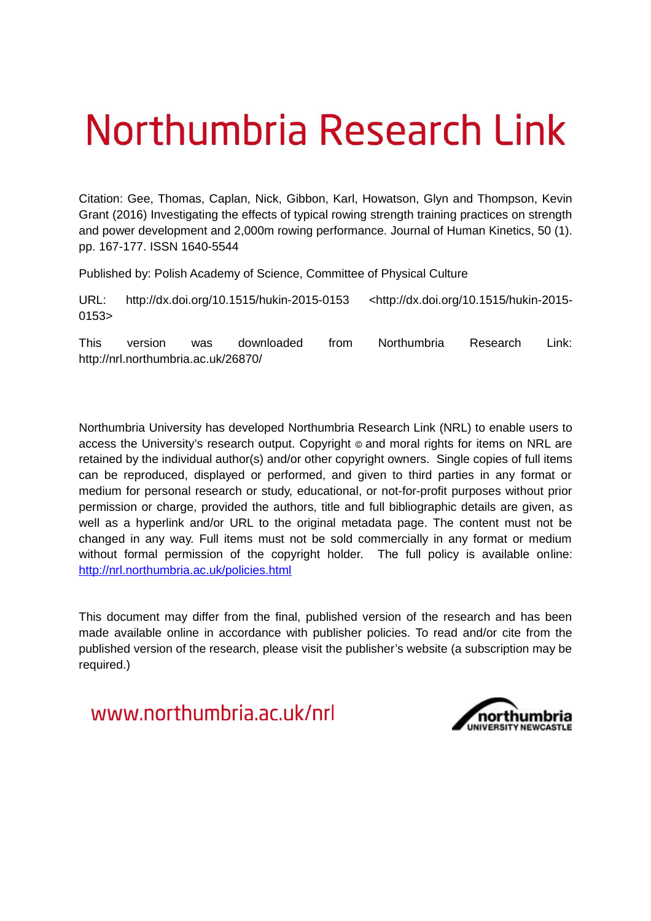# Northumbria Research Link

Citation: Gee, Thomas, Caplan, Nick, Gibbon, Karl, Howatson, Glyn and Thompson, Kevin Grant (2016) Investigating the effects of typical rowing strength training practices on strength and power development and 2,000m rowing performance. Journal of Human Kinetics, 50 (1). pp. 167-177. ISSN 1640-5544

Published by: Polish Academy of Science, Committee of Physical Culture

URL: http://dx.doi.org/10.1515/hukin-2015-0153 <http://dx.doi.org/10.1515/hukin-2015- 0153>

This version was downloaded from Northumbria Research Link: http://nrl.northumbria.ac.uk/26870/

Northumbria University has developed Northumbria Research Link (NRL) to enable users to access the University's research output. Copyright  $\circ$  and moral rights for items on NRL are retained by the individual author(s) and/or other copyright owners. Single copies of full items can be reproduced, displayed or performed, and given to third parties in any format or medium for personal research or study, educational, or not-for-profit purposes without prior permission or charge, provided the authors, title and full bibliographic details are given, as well as a hyperlink and/or URL to the original metadata page. The content must not be changed in any way. Full items must not be sold commercially in any format or medium without formal permission of the copyright holder. The full policy is available online: <http://nrl.northumbria.ac.uk/policies.html>

This document may differ from the final, published version of the research and has been made available online in accordance with publisher policies. To read and/or cite from the published version of the research, please visit the publisher's website (a subscription may be required.)

www.northumbria.ac.uk/nrl

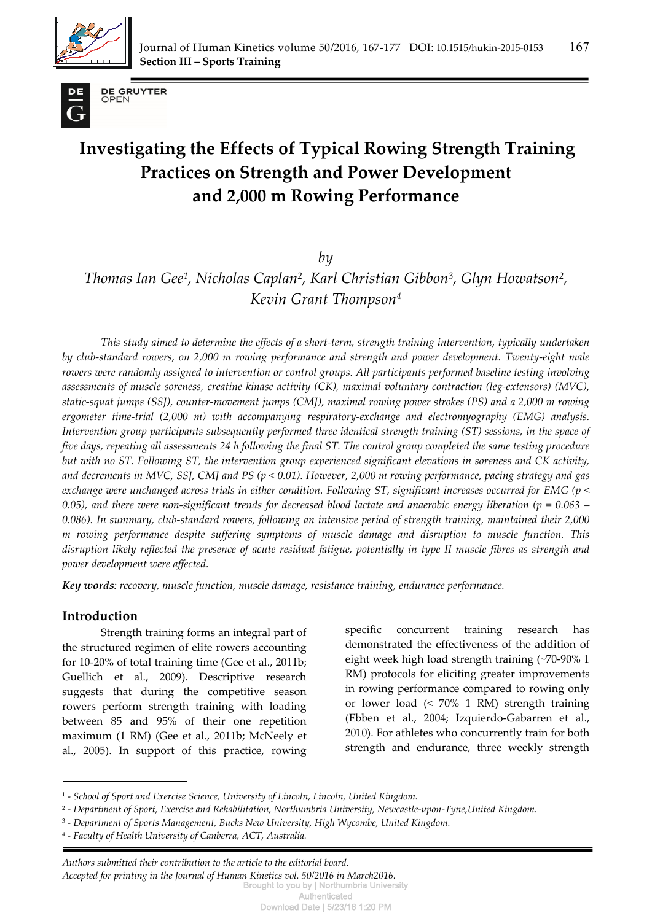



**DE GRUYTER** OPEN

# **Investigating the Effects of Typical Rowing Strength Training Practices on Strength and Power Development and 2,000 m Rowing Performance**

*by* 

*Thomas Ian Gee<sup>1</sup> , Nicholas Caplan<sup>2</sup> , Karl Christian Gibbon<sup>3</sup> , Glyn Howatson<sup>2</sup> , Kevin Grant Thompson<sup>4</sup>*

*This study aimed to determine the effects of a short-term, strength training intervention, typically undertaken by club-standard rowers, on 2,000 m rowing performance and strength and power development. Twenty-eight male rowers were randomly assigned to intervention or control groups. All participants performed baseline testing involving assessments of muscle soreness, creatine kinase activity (CK), maximal voluntary contraction (leg-extensors) (MVC), static-squat jumps (SSJ), counter-movement jumps (CMJ), maximal rowing power strokes (PS) and a 2,000 m rowing ergometer time-trial (2,000 m) with accompanying respiratory-exchange and electromyography (EMG) analysis. Intervention group participants subsequently performed three identical strength training (ST) sessions, in the space of five days, repeating all assessments 24 h following the final ST. The control group completed the same testing procedure but with no ST. Following ST, the intervention group experienced significant elevations in soreness and CK activity, and decrements in MVC, SSJ, CMJ and PS (p < 0.01). However, 2,000 m rowing performance, pacing strategy and gas exchange were unchanged across trials in either condition. Following ST, significant increases occurred for EMG (p < 0.05), and there were non-significant trends for decreased blood lactate and anaerobic energy liberation (p = 0.063 – 0.086). In summary, club-standard rowers, following an intensive period of strength training, maintained their 2,000 m rowing performance despite suffering symptoms of muscle damage and disruption to muscle function. This disruption likely reflected the presence of acute residual fatigue, potentially in type II muscle fibres as strength and power development were affected.* 

*Key words: recovery, muscle function, muscle damage, resistance training, endurance performance.* 

## **Introduction**

Strength training forms an integral part of the structured regimen of elite rowers accounting for 10-20% of total training time (Gee et al., 2011b; Guellich et al., 2009). Descriptive research suggests that during the competitive season rowers perform strength training with loading between 85 and 95% of their one repetition maximum (1 RM) (Gee et al., 2011b; McNeely et al., 2005). In support of this practice, rowing specific concurrent training research has demonstrated the effectiveness of the addition of eight week high load strength training (~70-90% 1 RM) protocols for eliciting greater improvements in rowing performance compared to rowing only or lower load (< 70% 1 RM) strength training (Ebben et al., 2004; Izquierdo-Gabarren et al., 2010). For athletes who concurrently train for both strength and endurance, three weekly strength

*. Authors submitted their contribution to the article to the editorial board. Accepted for printing in the Journal of Human Kinetics vol. 50/2016 in March2016.*  Brought to you by | Northumbria University

<sup>&</sup>lt;sup>1</sup> - School of Sport and Exercise Science, University of Lincoln, Lincoln, United Kingdom.

<sup>&</sup>lt;sup>2</sup> - Department of Sport, Exercise and Rehabilitation, Northumbria University, Newcastle-upon-Tyne,United Kingdom.

<sup>&</sup>lt;sup>3</sup> - Department of Sports Management, Bucks New University, High Wycombe, United Kingdom.

<sup>4</sup> - *Faculty of Health University of Canberra, ACT, Australia.*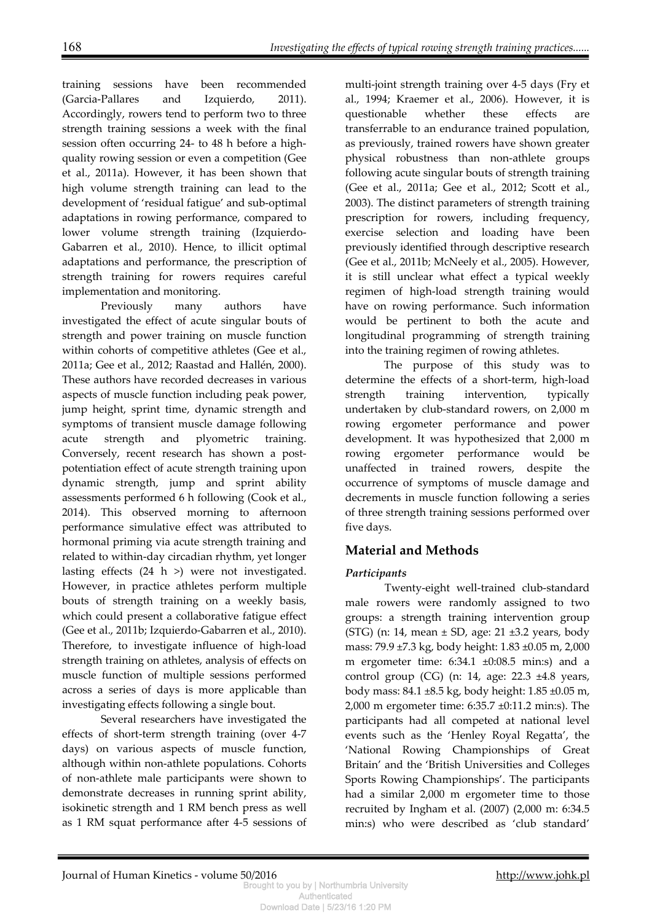training sessions have been recommended (Garcia-Pallares and Izquierdo, 2011). Accordingly, rowers tend to perform two to three strength training sessions a week with the final session often occurring 24- to 48 h before a highquality rowing session or even a competition (Gee et al., 2011a). However, it has been shown that high volume strength training can lead to the development of 'residual fatigue' and sub-optimal adaptations in rowing performance, compared to lower volume strength training (Izquierdo-Gabarren et al., 2010). Hence, to illicit optimal adaptations and performance, the prescription of strength training for rowers requires careful implementation and monitoring.

Previously many authors have investigated the effect of acute singular bouts of strength and power training on muscle function within cohorts of competitive athletes (Gee et al., 2011a; Gee et al., 2012; Raastad and Hallén, 2000). These authors have recorded decreases in various aspects of muscle function including peak power, jump height, sprint time, dynamic strength and symptoms of transient muscle damage following acute strength and plyometric training. Conversely, recent research has shown a postpotentiation effect of acute strength training upon dynamic strength, jump and sprint ability assessments performed 6 h following (Cook et al., 2014). This observed morning to afternoon performance simulative effect was attributed to hormonal priming via acute strength training and related to within-day circadian rhythm, yet longer lasting effects (24 h >) were not investigated. However, in practice athletes perform multiple bouts of strength training on a weekly basis, which could present a collaborative fatigue effect (Gee et al., 2011b; Izquierdo-Gabarren et al., 2010). Therefore, to investigate influence of high-load strength training on athletes, analysis of effects on muscle function of multiple sessions performed across a series of days is more applicable than investigating effects following a single bout.

Several researchers have investigated the effects of short-term strength training (over 4-7 days) on various aspects of muscle function, although within non-athlete populations. Cohorts of non-athlete male participants were shown to demonstrate decreases in running sprint ability, isokinetic strength and 1 RM bench press as well as 1 RM squat performance after 4-5 sessions of

multi-joint strength training over 4-5 days (Fry et al., 1994; Kraemer et al., 2006). However, it is questionable whether these effects are transferrable to an endurance trained population, as previously, trained rowers have shown greater physical robustness than non-athlete groups following acute singular bouts of strength training (Gee et al., 2011a; Gee et al., 2012; Scott et al., 2003). The distinct parameters of strength training prescription for rowers, including frequency, exercise selection and loading have been previously identified through descriptive research (Gee et al., 2011b; McNeely et al., 2005). However, it is still unclear what effect a typical weekly regimen of high-load strength training would have on rowing performance. Such information would be pertinent to both the acute and longitudinal programming of strength training into the training regimen of rowing athletes.

The purpose of this study was to determine the effects of a short-term, high-load strength training intervention, typically undertaken by club-standard rowers, on 2,000 m rowing ergometer performance and power development. It was hypothesized that 2,000 m rowing ergometer performance would be unaffected in trained rowers, despite the occurrence of symptoms of muscle damage and decrements in muscle function following a series of three strength training sessions performed over five days.

# **Material and Methods**

## *Participants*

Twenty-eight well-trained club-standard male rowers were randomly assigned to two groups: a strength training intervention group (STG) (n: 14, mean  $\pm$  SD, age: 21  $\pm$ 3.2 years, body mass: 79.9 ±7.3 kg, body height: 1.83 ±0.05 m, 2,000 m ergometer time: 6:34.1 ±0:08.5 min:s) and a control group  $(CG)$  (n: 14, age: 22.3  $\pm 4.8$  years, body mass: 84.1 ±8.5 kg, body height: 1.85 ±0.05 m, 2,000 m ergometer time: 6:35.7 ±0:11.2 min:s). The participants had all competed at national level events such as the 'Henley Royal Regatta', the 'National Rowing Championships of Great Britain' and the 'British Universities and Colleges Sports Rowing Championships'. The participants had a similar 2,000 m ergometer time to those recruited by Ingham et al. (2007) (2,000 m: 6:34.5 min:s) who were described as 'club standard'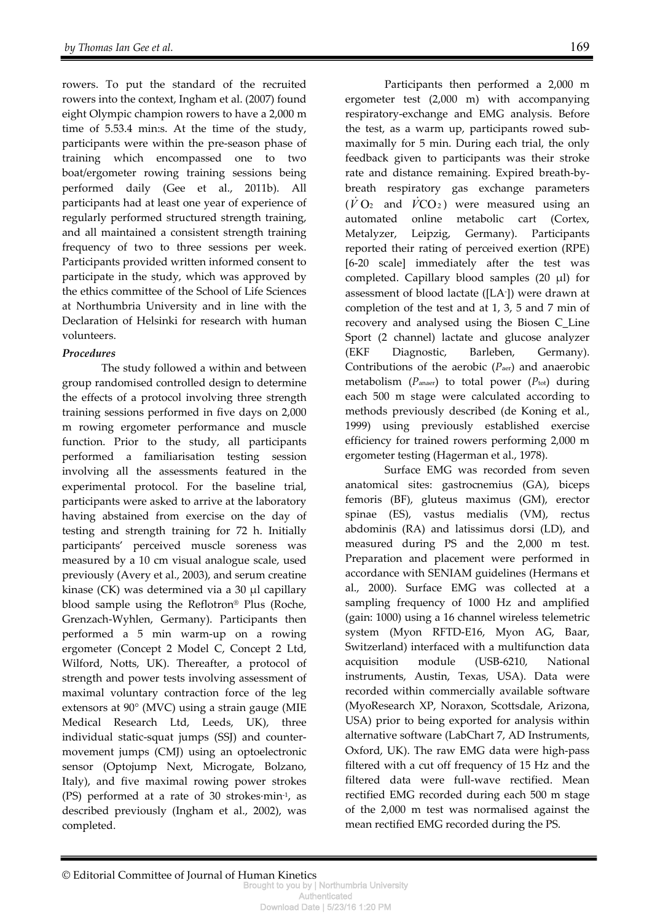rowers. To put the standard of the recruited rowers into the context, Ingham et al. (2007) found eight Olympic champion rowers to have a 2,000 m time of 5.53.4 min:s. At the time of the study, participants were within the pre-season phase of training which encompassed one to two boat/ergometer rowing training sessions being performed daily (Gee et al., 2011b). All participants had at least one year of experience of regularly performed structured strength training, and all maintained a consistent strength training frequency of two to three sessions per week. Participants provided written informed consent to participate in the study, which was approved by the ethics committee of the School of Life Sciences at Northumbria University and in line with the Declaration of Helsinki for research with human volunteers.

#### *Procedures*

The study followed a within and between group randomised controlled design to determine the effects of a protocol involving three strength training sessions performed in five days on 2,000 m rowing ergometer performance and muscle function. Prior to the study, all participants performed a familiarisation testing session involving all the assessments featured in the experimental protocol. For the baseline trial, participants were asked to arrive at the laboratory having abstained from exercise on the day of testing and strength training for 72 h. Initially participants' perceived muscle soreness was measured by a 10 cm visual analogue scale, used previously (Avery et al., 2003), and serum creatine kinase (CK) was determined via a 30 μl capillary blood sample using the Reflotron® Plus (Roche, Grenzach-Wyhlen, Germany). Participants then performed a 5 min warm-up on a rowing ergometer (Concept 2 Model C, Concept 2 Ltd, Wilford, Notts, UK). Thereafter, a protocol of strength and power tests involving assessment of maximal voluntary contraction force of the leg extensors at 90° (MVC) using a strain gauge (MIE Medical Research Ltd, Leeds, UK), three individual static-squat jumps (SSJ) and countermovement jumps (CMJ) using an optoelectronic sensor (Optojump Next, Microgate, Bolzano, Italy), and five maximal rowing power strokes (PS) performed at a rate of 30 strokes·min-1, as described previously (Ingham et al., 2002), was completed.

Participants then performed a 2,000 m ergometer test (2,000 m) with accompanying respiratory-exchange and EMG analysis. Before the test, as a warm up, participants rowed submaximally for 5 min. During each trial, the only feedback given to participants was their stroke rate and distance remaining. Expired breath-bybreath respiratory gas exchange parameters  $(\dot{V}O_2)$  and  $\dot{V}CO_2$ ) were measured using an automated online metabolic cart (Cortex, Metalyzer, Leipzig, Germany). Participants reported their rating of perceived exertion (RPE) [6-20 scale] immediately after the test was completed. Capillary blood samples (20 μl) for assessment of blood lactate ([LA- ]) were drawn at completion of the test and at 1, 3, 5 and 7 min of recovery and analysed using the Biosen C\_Line Sport (2 channel) lactate and glucose analyzer (EKF Diagnostic, Barleben, Germany). Contributions of the aerobic (*P*aer) and anaerobic metabolism (P<sub>anaer</sub>) to total power (Ptot) during each 500 m stage were calculated according to methods previously described (de Koning et al., 1999) using previously established exercise efficiency for trained rowers performing 2,000 m ergometer testing (Hagerman et al., 1978).

Surface EMG was recorded from seven anatomical sites: gastrocnemius (GA), biceps femoris (BF), gluteus maximus (GM), erector spinae (ES), vastus medialis (VM), rectus abdominis (RA) and latissimus dorsi (LD), and measured during PS and the 2,000 m test. Preparation and placement were performed in accordance with SENIAM guidelines (Hermans et al., 2000). Surface EMG was collected at a sampling frequency of 1000 Hz and amplified (gain: 1000) using a 16 channel wireless telemetric system (Myon RFTD-E16, Myon AG, Baar, Switzerland) interfaced with a multifunction data acquisition module (USB-6210, National instruments, Austin, Texas, USA). Data were recorded within commercially available software (MyoResearch XP, Noraxon, Scottsdale, Arizona, USA) prior to being exported for analysis within alternative software (LabChart 7, AD Instruments, Oxford, UK). The raw EMG data were high-pass filtered with a cut off frequency of 15 Hz and the filtered data were full-wave rectified. Mean rectified EMG recorded during each 500 m stage of the 2,000 m test was normalised against the mean rectified EMG recorded during the PS.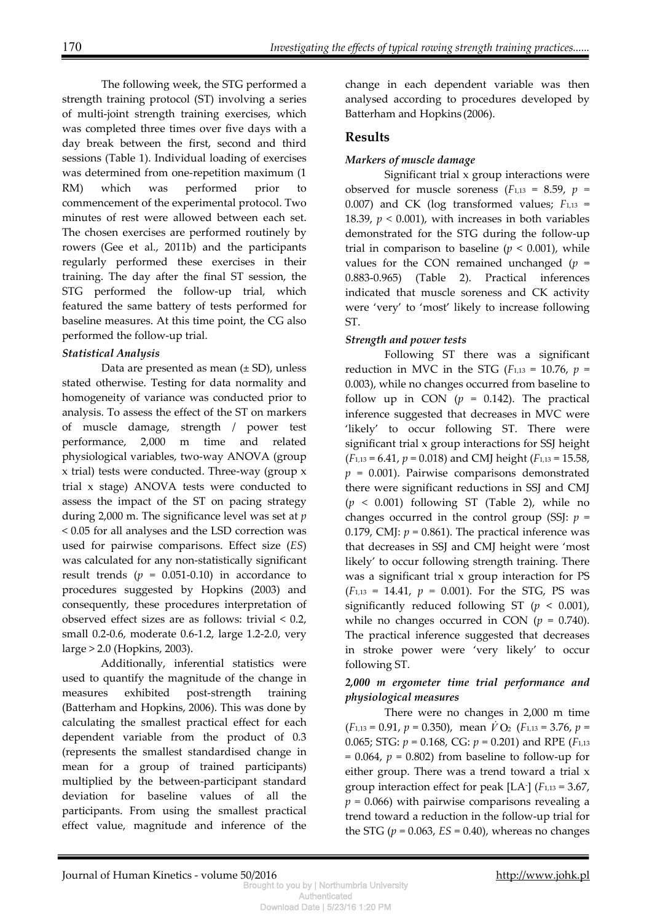The following week, the STG performed a strength training protocol (ST) involving a series of multi-joint strength training exercises, which was completed three times over five days with a day break between the first, second and third sessions (Table 1). Individual loading of exercises was determined from one-repetition maximum (1 RM) which was performed prior to commencement of the experimental protocol. Two minutes of rest were allowed between each set. The chosen exercises are performed routinely by rowers (Gee et al., 2011b) and the participants regularly performed these exercises in their training. The day after the final ST session, the STG performed the follow-up trial, which featured the same battery of tests performed for baseline measures. At this time point, the CG also performed the follow-up trial.

#### *Statistical Analysis*

Data are presented as mean (± SD), unless stated otherwise. Testing for data normality and homogeneity of variance was conducted prior to analysis. To assess the effect of the ST on markers of muscle damage, strength / power test performance, 2,000 m time and related physiological variables, two-way ANOVA (group x trial) tests were conducted. Three-way (group x trial x stage) ANOVA tests were conducted to assess the impact of the ST on pacing strategy during 2,000 m. The significance level was set at *p*  < 0.05 for all analyses and the LSD correction was used for pairwise comparisons. Effect size (*ES*) was calculated for any non-statistically significant result trends  $(p = 0.051 - 0.10)$  in accordance to procedures suggested by Hopkins (2003) and consequently, these procedures interpretation of observed effect sizes are as follows: trivial < 0.2, small 0.2-0.6, moderate 0.6-1.2, large 1.2-2.0, very large > 2.0 (Hopkins, 2003).

 Additionally, inferential statistics were used to quantify the magnitude of the change in measures exhibited post-strength training (Batterham and Hopkins, 2006). This was done by calculating the smallest practical effect for each dependent variable from the product of 0.3 (represents the smallest standardised change in mean for a group of trained participants) multiplied by the between-participant standard deviation for baseline values of all the participants. From using the smallest practical effect value, magnitude and inference of the

change in each dependent variable was then analysed according to procedures developed by Batterham and Hopkins (2006).

# **Results**

#### *Markers of muscle damage*

Significant trial x group interactions were observed for muscle soreness  $(F_{1,13} = 8.59, p =$ 0.007) and CK (log transformed values; *F*1,13 = 18.39,  $p < 0.001$ ), with increases in both variables demonstrated for the STG during the follow-up trial in comparison to baseline  $(p < 0.001)$ , while values for the CON remained unchanged  $(p =$ 0.883-0.965) (Table 2). Practical inferences indicated that muscle soreness and CK activity were 'very' to 'most' likely to increase following ST.

#### *Strength and power tests*

Following ST there was a significant reduction in MVC in the STG ( $F_{1,13} = 10.76$ ,  $p =$ 0.003), while no changes occurred from baseline to follow up in CON  $(p = 0.142)$ . The practical inference suggested that decreases in MVC were 'likely' to occur following ST. There were significant trial x group interactions for SSJ height (*F*1,13 = 6.41, *p* = 0.018) and CMJ height (*F*1,13 = 15.58,  $p = 0.001$ ). Pairwise comparisons demonstrated there were significant reductions in SSJ and CMJ (*p <* 0.001) following ST (Table 2), while no changes occurred in the control group (SSJ:  $p =$ 0.179, CMJ:  $p = 0.861$ ). The practical inference was that decreases in SSJ and CMJ height were 'most likely' to occur following strength training. There was a significant trial x group interaction for PS  $(F<sub>1,13</sub> = 14.41, p = 0.001)$ . For the STG, PS was significantly reduced following ST  $(p < 0.001)$ , while no changes occurred in CON  $(p = 0.740)$ . The practical inference suggested that decreases in stroke power were 'very likely' to occur following ST.

#### *2,000 m ergometer time trial performance and physiological measures*

There were no changes in 2,000 m time  $(F_{1,13} = 0.91, p = 0.350)$ , mean  $\dot{V}$  O<sub>2</sub> ( $F_{1,13} = 3.76, p =$ 0.065; STG: *p* = 0.168, CG: *p* = 0.201) and RPE (*F*1,13  $= 0.064$ ,  $p = 0.802$ ) from baseline to follow-up for either group. There was a trend toward a trial x group interaction effect for peak [LA- ] (*F*1,13 = 3.67, *p =* 0.066) with pairwise comparisons revealing a trend toward a reduction in the follow-up trial for the STG  $(p = 0.063, ES = 0.40)$ , whereas no changes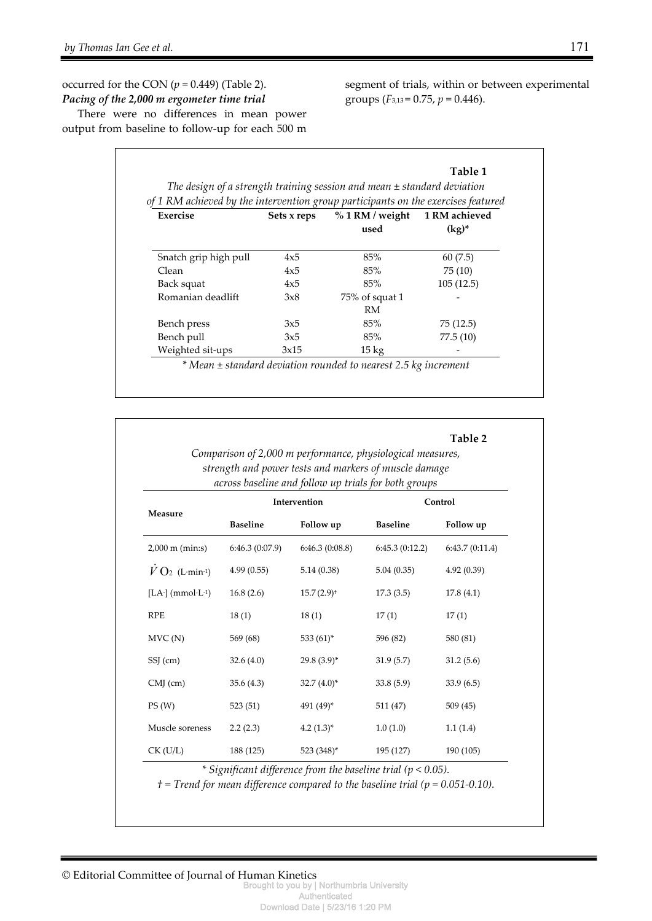#### occurred for the CON  $(p = 0.449)$  (Table 2). *Pacing of the 2,000 m ergometer time trial*

There were no differences in mean power output from baseline to follow-up for each 500 m segment of trials, within or between experimental groups (*F*3,13 = 0.75, *p* = 0.446).

**Table 2** 

|                       |             | of 1 RM achieved by the intervention group participants on the exercises featured |           |
|-----------------------|-------------|-----------------------------------------------------------------------------------|-----------|
| <b>Exercise</b>       | Sets x reps | % 1 RM / weight 1 RM achieved<br>used                                             | $(kg)^*$  |
| Snatch grip high pull | 4x5         | 85%                                                                               | 60(7.5)   |
| Clean                 | 4x5         | 85%                                                                               | 75(10)    |
| Back squat            | 4x5         | 85%                                                                               | 105(12.5) |
| Romanian deadlift     | 3x8         | 75% of squat 1<br>RM                                                              |           |
| Bench press           | 3x5         | 85%                                                                               | 75(12.5)  |
| Bench pull            | 3x5         | 85%                                                                               | 77.5(10)  |
| Weighted sit-ups      | 3x15        | $15 \text{ kg}$                                                                   |           |

| Comparison of 2,000 m performance, physiological measures, |
|------------------------------------------------------------|
| strength and power tests and markers of muscle damage      |
| across baseline and follow up trials for both groups       |

| Measure                                                          | Intervention    |                          | Control         |                |  |  |
|------------------------------------------------------------------|-----------------|--------------------------|-----------------|----------------|--|--|
|                                                                  | <b>Baseline</b> | Follow up                | <b>Baseline</b> | Follow up      |  |  |
| $2,000 \text{ m (min:s)}$                                        | 6:46.3(0:07.9)  | 6:46.3(0:08.8)           | 6:45.3(0:12.2)  | 6:43.7(0:11.4) |  |  |
| $V$ O <sub>2</sub> (L·min <sup>-1</sup> )                        | 4.99(0.55)      | 5.14(0.38)               | 5.04(0.35)      | 4.92(0.39)     |  |  |
| [LA $\cdot$ ] (mmol $\cdot$ L $\cdot$ <sup>1</sup> )             | 16.8(2.6)       | $15.7(2.9)$ <sup>+</sup> | 17.3(3.5)       | 17.8(4.1)      |  |  |
| <b>RPE</b>                                                       | 18(1)           | 18(1)                    | 17(1)           | 17(1)          |  |  |
| MVC(N)                                                           | 569 (68)        | 533 $(61)^*$             | 596 (82)        | 580 (81)       |  |  |
| SSJ (cm)                                                         | 32.6(4.0)       | $29.8(3.9)^{*}$          | 31.9(5.7)       | 31.2(5.6)      |  |  |
| $CMJ$ (cm)                                                       | 35.6(4.3)       | $32.7(4.0)^*$            | 33.8(5.9)       | 33.9(6.5)      |  |  |
| PS(W)                                                            | 523(51)         | 491 (49)*                | 511 (47)        | 509(45)        |  |  |
| Muscle soreness                                                  | 2.2(2.3)        | $4.2(1.3)^{*}$           | 1.0(1.0)        | 1.1(1.4)       |  |  |
| $CK$ (U/L)                                                       | 188 (125)       | 523 (348)*               | 195 (127)       | 190 (105)      |  |  |
| * Significant difference from the baseline trial ( $p < 0.05$ ). |                 |                          |                 |                |  |  |

 $t =$  Trend for mean difference compared to the baseline trial ( $p = 0.051 - 0.10$ ).

© Editorial Committee of Journal of Human Kinetics

Brought to you by | Northumbria University Authenticated Download Date | 5/23/16 1:20 PM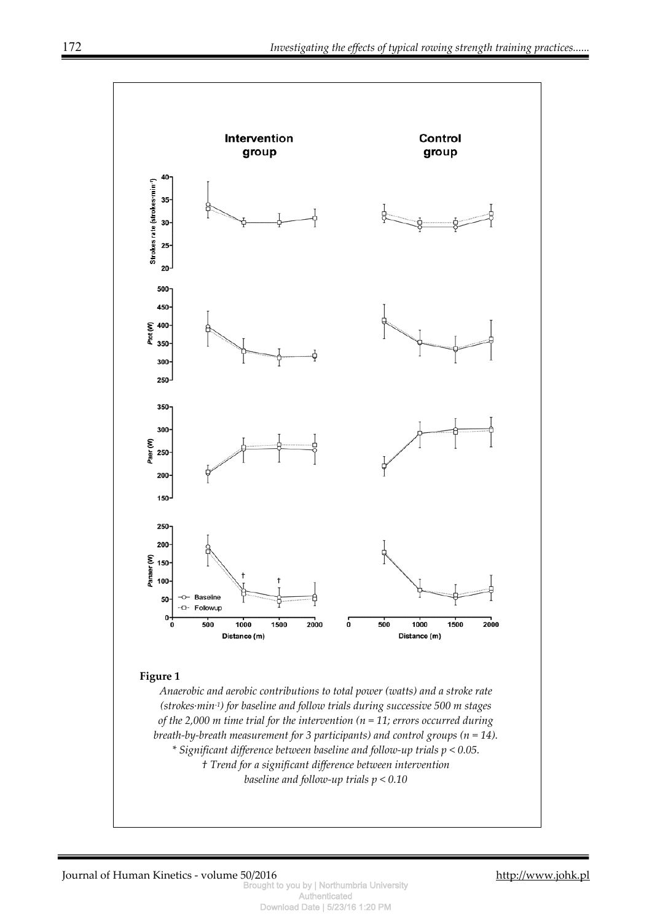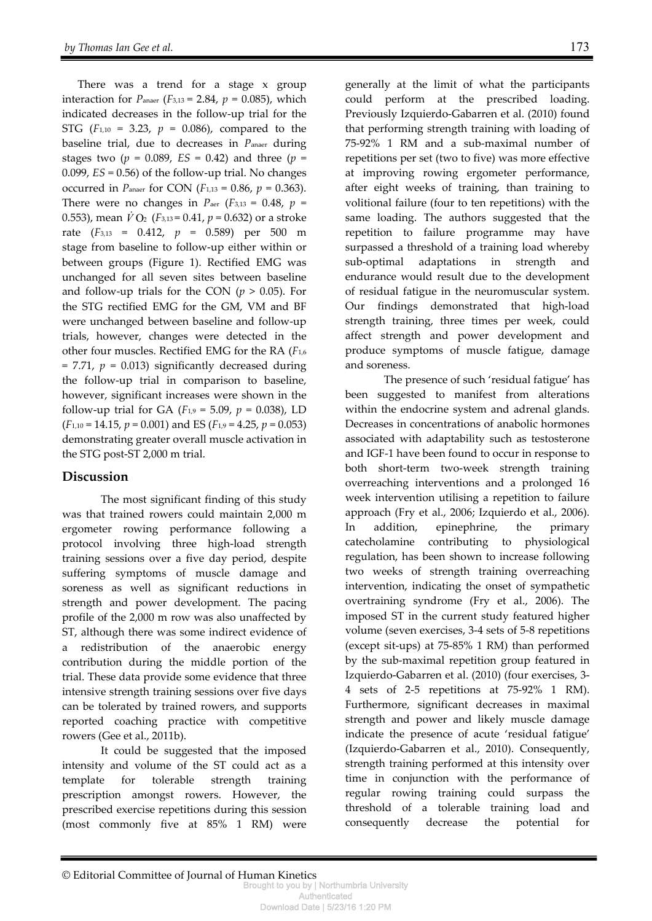There was a trend for a stage x group interaction for *P*<sub>anaer</sub> (*F*<sub>3,13</sub> = 2.84,  $p = 0.085$ ), which indicated decreases in the follow-up trial for the STG ( $F_{1,10} = 3.23$ ,  $p = 0.086$ ), compared to the baseline trial, due to decreases in *P*anaer during stages two ( $p = 0.089$ ,  $ES = 0.42$ ) and three ( $p =$ 0.099, *ES* = 0.56) of the follow-up trial. No changes occurred in *P*anaer for CON (*F*1,13 = 0.86, *p* = 0.363). There were no changes in  $P_{\text{aer}}$  ( $F_{3,13} = 0.48$ ,  $p =$ 0.553), mean  $\dot{V}$  O<sub>2</sub> ( $F_{3,13}$  = 0.41,  $p$  = 0.632) or a stroke rate (*F*3,13 = 0.412, *p* = 0.589) per 500 m stage from baseline to follow-up either within or between groups (Figure 1). Rectified EMG was unchanged for all seven sites between baseline and follow-up trials for the CON  $(p > 0.05)$ . For the STG rectified EMG for the GM, VM and BF were unchanged between baseline and follow-up trials, however, changes were detected in the other four muscles. Rectified EMG for the RA (*F*1,6  $= 7.71$ ,  $p = 0.013$ ) significantly decreased during the follow-up trial in comparison to baseline, however, significant increases were shown in the follow-up trial for GA ( $F_{1,9} = 5.09$ ,  $p = 0.038$ ), LD (*F*1,10 = 14.15, *p* = 0.001) and ES (*F*1,9 = 4.25, *p* = 0.053) demonstrating greater overall muscle activation in the STG post-ST 2,000 m trial.

## **Discussion**

The most significant finding of this study was that trained rowers could maintain 2,000 m ergometer rowing performance following a protocol involving three high-load strength training sessions over a five day period, despite suffering symptoms of muscle damage and soreness as well as significant reductions in strength and power development. The pacing profile of the 2,000 m row was also unaffected by ST, although there was some indirect evidence of a redistribution of the anaerobic energy contribution during the middle portion of the trial. These data provide some evidence that three intensive strength training sessions over five days can be tolerated by trained rowers, and supports reported coaching practice with competitive rowers (Gee et al., 2011b).

It could be suggested that the imposed intensity and volume of the ST could act as a template for tolerable strength training prescription amongst rowers. However, the prescribed exercise repetitions during this session (most commonly five at 85% 1 RM) were

generally at the limit of what the participants could perform at the prescribed loading. Previously Izquierdo-Gabarren et al. (2010) found that performing strength training with loading of 75-92% 1 RM and a sub-maximal number of repetitions per set (two to five) was more effective at improving rowing ergometer performance, after eight weeks of training, than training to volitional failure (four to ten repetitions) with the same loading. The authors suggested that the repetition to failure programme may have surpassed a threshold of a training load whereby sub-optimal adaptations in strength and endurance would result due to the development of residual fatigue in the neuromuscular system. Our findings demonstrated that high-load strength training, three times per week, could affect strength and power development and produce symptoms of muscle fatigue, damage and soreness.

The presence of such 'residual fatigue' has been suggested to manifest from alterations within the endocrine system and adrenal glands. Decreases in concentrations of anabolic hormones associated with adaptability such as testosterone and IGF-1 have been found to occur in response to both short-term two-week strength training overreaching interventions and a prolonged 16 week intervention utilising a repetition to failure approach (Fry et al., 2006; Izquierdo et al., 2006). In addition, epinephrine, the primary catecholamine contributing to physiological regulation, has been shown to increase following two weeks of strength training overreaching intervention, indicating the onset of sympathetic overtraining syndrome (Fry et al., 2006). The imposed ST in the current study featured higher volume (seven exercises, 3-4 sets of 5-8 repetitions (except sit-ups) at 75-85% 1 RM) than performed by the sub-maximal repetition group featured in Izquierdo-Gabarren et al. (2010) (four exercises, 3- 4 sets of 2-5 repetitions at 75-92% 1 RM). Furthermore, significant decreases in maximal strength and power and likely muscle damage indicate the presence of acute 'residual fatigue' (Izquierdo-Gabarren et al., 2010). Consequently, strength training performed at this intensity over time in conjunction with the performance of regular rowing training could surpass the threshold of a tolerable training load and consequently decrease the potential for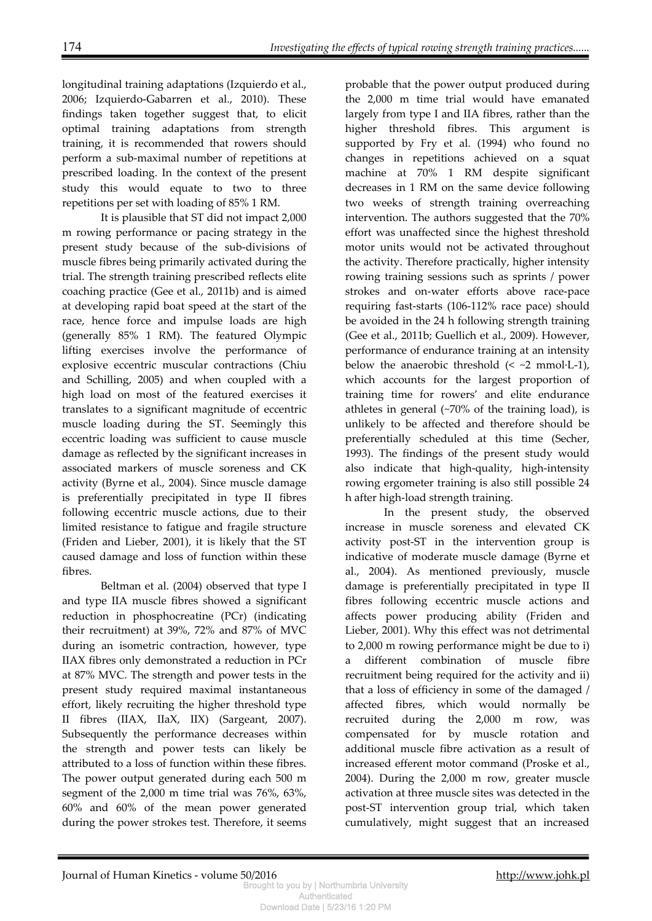longitudinal training adaptations (Izquierdo et al., 2006; Izquierdo-Gabarren et al., 2010). These findings taken together suggest that, to elicit optimal training adaptations from strength training, it is recommended that rowers should perform a sub-maximal number of repetitions at prescribed loading. In the context of the present study this would equate to two to three repetitions per set with loading of 85% 1 RM.

It is plausible that ST did not impact 2,000 m rowing performance or pacing strategy in the present study because of the sub-divisions of muscle fibres being primarily activated during the trial. The strength training prescribed reflects elite coaching practice (Gee et al., 2011b) and is aimed at developing rapid boat speed at the start of the race, hence force and impulse loads are high (generally 85% 1 RM). The featured Olympic lifting exercises involve the performance of explosive eccentric muscular contractions (Chiu and Schilling, 2005) and when coupled with a high load on most of the featured exercises it translates to a significant magnitude of eccentric muscle loading during the ST. Seemingly this eccentric loading was sufficient to cause muscle damage as reflected by the significant increases in associated markers of muscle soreness and CK activity (Byrne et al., 2004). Since muscle damage is preferentially precipitated in type II fibres following eccentric muscle actions, due to their limited resistance to fatigue and fragile structure (Friden and Lieber, 2001), it is likely that the ST caused damage and loss of function within these fibres.

Beltman et al. (2004) observed that type I and type IIA muscle fibres showed a significant reduction in phosphocreatine (PCr) (indicating their recruitment) at 39%, 72% and 87% of MVC during an isometric contraction, however, type IIAX fibres only demonstrated a reduction in PCr at 87% MVC. The strength and power tests in the present study required maximal instantaneous effort, likely recruiting the higher threshold type II fibres (IIAX, IIaX, IIX) (Sargeant, 2007). Subsequently the performance decreases within the strength and power tests can likely be attributed to a loss of function within these fibres. The power output generated during each 500 m segment of the 2,000 m time trial was 76%, 63%, 60% and 60% of the mean power generated during the power strokes test. Therefore, it seems

probable that the power output produced during the 2,000 m time trial would have emanated largely from type I and IIA fibres, rather than the higher threshold fibres. This argument is supported by Fry et al. (1994) who found no changes in repetitions achieved on a squat machine at 70% 1 RM despite significant decreases in 1 RM on the same device following two weeks of strength training overreaching intervention. The authors suggested that the 70% effort was unaffected since the highest threshold motor units would not be activated throughout the activity. Therefore practically, higher intensity rowing training sessions such as sprints / power strokes and on-water efforts above race-pace requiring fast-starts (106-112% race pace) should be avoided in the 24 h following strength training (Gee et al., 2011b; Guellich et al., 2009). However, performance of endurance training at an intensity below the anaerobic threshold  $( $~2$  mmol $·$ L $-1$ ),$ which accounts for the largest proportion of training time for rowers' and elite endurance athletes in general (~70% of the training load), is unlikely to be affected and therefore should be preferentially scheduled at this time (Secher, 1993). The findings of the present study would also indicate that high-quality, high-intensity rowing ergometer training is also still possible 24 h after high-load strength training.

In the present study, the observed increase in muscle soreness and elevated CK activity post-ST in the intervention group is indicative of moderate muscle damage (Byrne et al., 2004). As mentioned previously, muscle damage is preferentially precipitated in type II fibres following eccentric muscle actions and affects power producing ability (Friden and Lieber, 2001). Why this effect was not detrimental to 2,000 m rowing performance might be due to i) a different combination of muscle fibre recruitment being required for the activity and ii) that a loss of efficiency in some of the damaged / affected fibres, which would normally be recruited during the 2,000 m row, was compensated for by muscle rotation and additional muscle fibre activation as a result of increased efferent motor command (Proske et al., 2004). During the 2,000 m row, greater muscle activation at three muscle sites was detected in the post-ST intervention group trial, which taken cumulatively, might suggest that an increased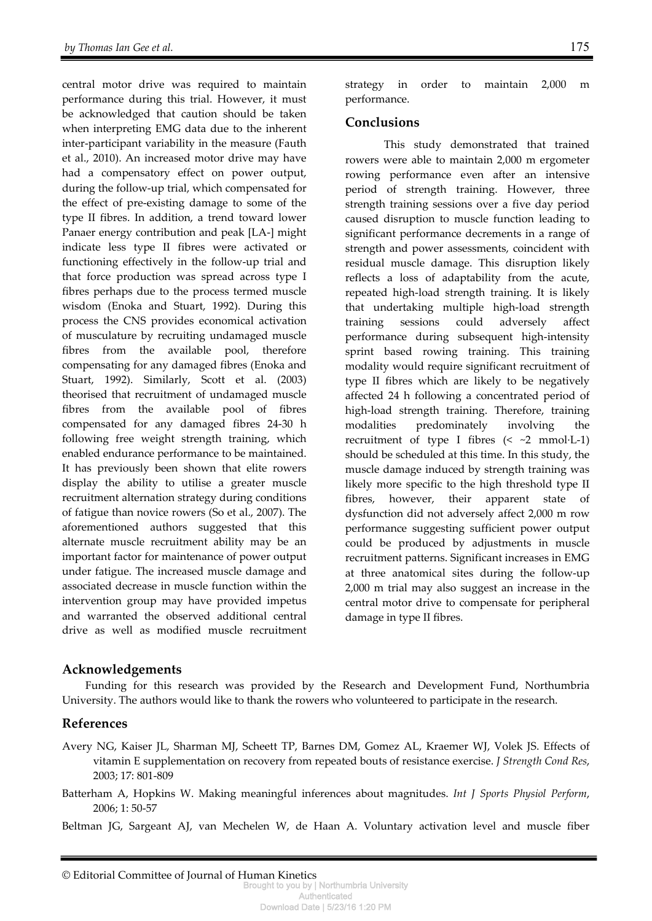central motor drive was required to maintain performance during this trial. However, it must be acknowledged that caution should be taken when interpreting EMG data due to the inherent inter-participant variability in the measure (Fauth et al., 2010). An increased motor drive may have had a compensatory effect on power output, during the follow-up trial, which compensated for the effect of pre-existing damage to some of the type II fibres. In addition, a trend toward lower Panaer energy contribution and peak [LA-] might indicate less type II fibres were activated or functioning effectively in the follow-up trial and that force production was spread across type I fibres perhaps due to the process termed muscle wisdom (Enoka and Stuart, 1992). During this process the CNS provides economical activation of musculature by recruiting undamaged muscle fibres from the available pool, therefore compensating for any damaged fibres (Enoka and Stuart, 1992). Similarly, Scott et al. (2003) theorised that recruitment of undamaged muscle fibres from the available pool of fibres compensated for any damaged fibres 24-30 h following free weight strength training, which enabled endurance performance to be maintained. It has previously been shown that elite rowers display the ability to utilise a greater muscle recruitment alternation strategy during conditions of fatigue than novice rowers (So et al., 2007). The aforementioned authors suggested that this alternate muscle recruitment ability may be an important factor for maintenance of power output under fatigue. The increased muscle damage and associated decrease in muscle function within the intervention group may have provided impetus and warranted the observed additional central drive as well as modified muscle recruitment

strategy in order to maintain 2,000 m performance.

#### **Conclusions**

This study demonstrated that trained rowers were able to maintain 2,000 m ergometer rowing performance even after an intensive period of strength training. However, three strength training sessions over a five day period caused disruption to muscle function leading to significant performance decrements in a range of strength and power assessments, coincident with residual muscle damage. This disruption likely reflects a loss of adaptability from the acute, repeated high-load strength training. It is likely that undertaking multiple high-load strength training sessions could adversely affect performance during subsequent high-intensity sprint based rowing training. This training modality would require significant recruitment of type II fibres which are likely to be negatively affected 24 h following a concentrated period of high-load strength training. Therefore, training modalities predominately involving the recruitment of type I fibres  $\left( \leq \sim 2 \text{ mmol·L-1} \right)$ should be scheduled at this time. In this study, the muscle damage induced by strength training was likely more specific to the high threshold type II fibres, however, their apparent state of dysfunction did not adversely affect 2,000 m row performance suggesting sufficient power output could be produced by adjustments in muscle recruitment patterns. Significant increases in EMG at three anatomical sites during the follow-up 2,000 m trial may also suggest an increase in the central motor drive to compensate for peripheral damage in type II fibres.

## **Acknowledgements**

Funding for this research was provided by the Research and Development Fund, Northumbria University. The authors would like to thank the rowers who volunteered to participate in the research.

## **References**

- Avery NG, Kaiser JL, Sharman MJ, Scheett TP, Barnes DM, Gomez AL, Kraemer WJ, Volek JS. Effects of vitamin E supplementation on recovery from repeated bouts of resistance exercise. *J Strength Cond Res*, 2003; 17: 801-809
- Batterham A, Hopkins W. Making meaningful inferences about magnitudes. *Int J Sports Physiol Perform*, 2006; 1: 50-57

Beltman JG, Sargeant AJ, van Mechelen W, de Haan A. Voluntary activation level and muscle fiber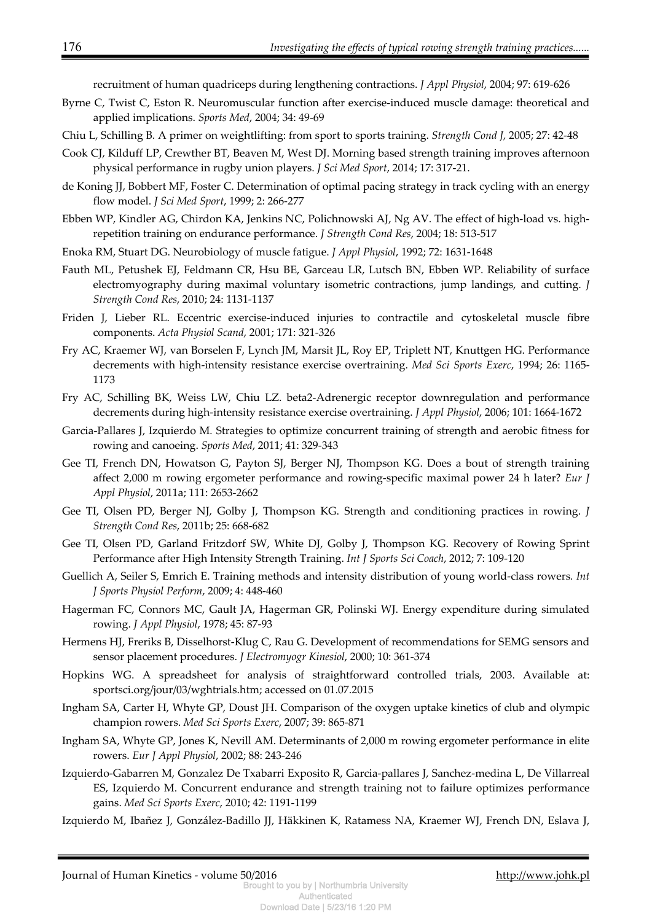recruitment of human quadriceps during lengthening contractions. *J Appl Physiol*, 2004; 97: 619-626

- Byrne C, Twist C, Eston R. Neuromuscular function after exercise-induced muscle damage: theoretical and applied implications. *Sports Med*, 2004; 34: 49-69
- Chiu L, Schilling B*.* A primer on weightlifting: from sport to sports training. *Strength Cond J,* 2005; 27: 42-48
- Cook CJ, Kilduff LP, Crewther BT, Beaven M, West DJ. Morning based strength training improves afternoon physical performance in rugby union players. *J Sci Med Sport*, 2014; 17: 317-21.
- de Koning JJ, Bobbert MF, Foster C. Determination of optimal pacing strategy in track cycling with an energy flow model. *J Sci Med Sport*, 1999; 2: 266-277
- Ebben WP, Kindler AG, Chirdon KA, Jenkins NC, Polichnowski AJ, Ng AV. The effect of high-load vs. highrepetition training on endurance performance. *J Strength Cond Res*, 2004; 18: 513-517
- Enoka RM, Stuart DG. Neurobiology of muscle fatigue. *J Appl Physiol*, 1992; 72: 1631-1648
- Fauth ML, Petushek EJ, Feldmann CR, Hsu BE, Garceau LR, Lutsch BN, Ebben WP. Reliability of surface electromyography during maximal voluntary isometric contractions, jump landings, and cutting. *J Strength Cond Res*, 2010; 24: 1131-1137
- Friden J, Lieber RL. Eccentric exercise-induced injuries to contractile and cytoskeletal muscle fibre components. *Acta Physiol Scand*, 2001; 171: 321-326
- Fry AC, Kraemer WJ, van Borselen F, Lynch JM, Marsit JL, Roy EP, Triplett NT, Knuttgen HG. Performance decrements with high-intensity resistance exercise overtraining. *Med Sci Sports Exerc*, 1994; 26: 1165- 1173
- Fry AC, Schilling BK, Weiss LW, Chiu LZ. beta2-Adrenergic receptor downregulation and performance decrements during high-intensity resistance exercise overtraining. *J Appl Physiol*, 2006; 101: 1664-1672
- Garcia-Pallares J, Izquierdo M*.* Strategies to optimize concurrent training of strength and aerobic fitness for rowing and canoeing. *Sports Med*, 2011; 41: 329-343
- Gee TI, French DN, Howatson G, Payton SJ, Berger NJ, Thompson KG. Does a bout of strength training affect 2,000 m rowing ergometer performance and rowing-specific maximal power 24 h later? *Eur J Appl Physiol*, 2011a; 111: 2653-2662
- Gee TI, Olsen PD, Berger NJ, Golby J, Thompson KG. Strength and conditioning practices in rowing. *J Strength Cond Res*, 2011b; 25: 668-682
- Gee TI, Olsen PD, Garland Fritzdorf SW, White DJ, Golby J, Thompson KG. Recovery of Rowing Sprint Performance after High Intensity Strength Training. *Int J Sports Sci Coach*, 2012; 7: 109-120
- Guellich A, Seiler S, Emrich E. Training methods and intensity distribution of young world-class rowers*. Int J Sports Physiol Perform*, 2009; 4: 448-460
- Hagerman FC, Connors MC, Gault JA, Hagerman GR, Polinski WJ. Energy expenditure during simulated rowing. *J Appl Physiol*, 1978; 45: 87-93
- Hermens HJ, Freriks B, Disselhorst-Klug C, Rau G. Development of recommendations for SEMG sensors and sensor placement procedures. *J Electromyogr Kinesiol*, 2000; 10: 361-374
- Hopkins WG. A spreadsheet for analysis of straightforward controlled trials, 2003. Available at: sportsci.org/jour/03/wghtrials.htm; accessed on 01.07.2015
- Ingham SA, Carter H, Whyte GP, Doust JH. Comparison of the oxygen uptake kinetics of club and olympic champion rowers. *Med Sci Sports Exerc*, 2007; 39: 865-871
- Ingham SA, Whyte GP, Jones K, Nevill AM. Determinants of 2,000 m rowing ergometer performance in elite rowers. *Eur J Appl Physiol*, 2002; 88: 243-246
- Izquierdo-Gabarren M, Gonzalez De Txabarri Exposito R, Garcia-pallares J, Sanchez-medina L, De Villarreal ES, Izquierdo M. Concurrent endurance and strength training not to failure optimizes performance gains. *Med Sci Sports Exerc*, 2010; 42: 1191-1199
- Izquierdo M, Ibañez J, González-Badillo JJ, Häkkinen K, Ratamess NA, Kraemer WJ, French DN, Eslava J,

Journal of Human Kinetics - volume 50/2016 http://www.johk.pl